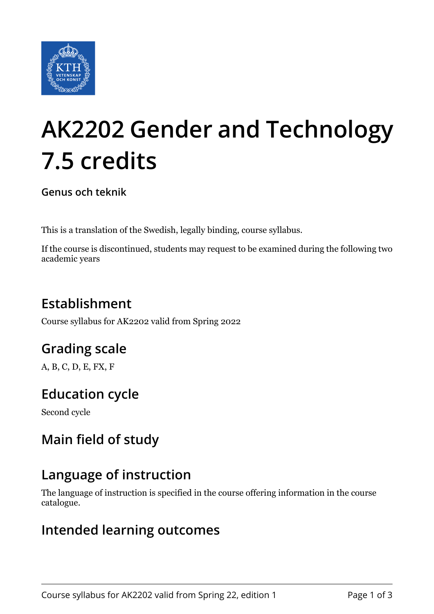

# **AK2202 Gender and Technology 7.5 credits**

**Genus och teknik**

This is a translation of the Swedish, legally binding, course syllabus.

If the course is discontinued, students may request to be examined during the following two academic years

## **Establishment**

Course syllabus for AK2202 valid from Spring 2022

## **Grading scale**

A, B, C, D, E, FX, F

## **Education cycle**

Second cycle

## **Main field of study**

#### **Language of instruction**

The language of instruction is specified in the course offering information in the course catalogue.

#### **Intended learning outcomes**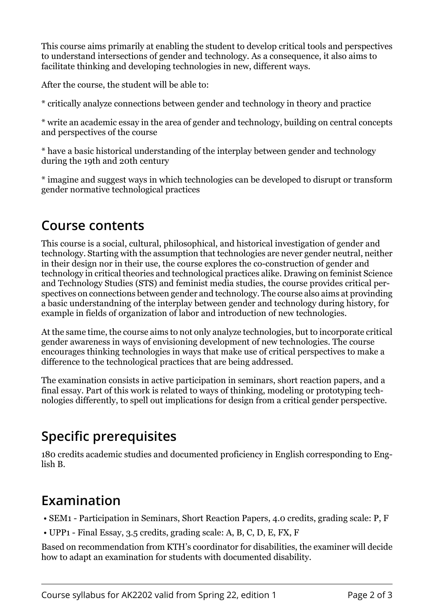This course aims primarily at enabling the student to develop critical tools and perspectives to understand intersections of gender and technology. As a consequence, it also aims to facilitate thinking and developing technologies in new, different ways.

After the course, the student will be able to:

\* critically analyze connections between gender and technology in theory and practice

\* write an academic essay in the area of gender and technology, building on central concepts and perspectives of the course

\* have a basic historical understanding of the interplay between gender and technology during the 19th and 20th century

\* imagine and suggest ways in which technologies can be developed to disrupt or transform gender normative technological practices

#### **Course contents**

This course is a social, cultural, philosophical, and historical investigation of gender and technology. Starting with the assumption that technologies are never gender neutral, neither in their design nor in their use, the course explores the co-construction of gender and technology in critical theories and technological practices alike. Drawing on feminist Science and Technology Studies (STS) and feminist media studies, the course provides critical perspectives on connections between gender and technology. The course also aims at provinding a basic understandning of the interplay between gender and technology during history, for example in fields of organization of labor and introduction of new technologies.

At the same time, the course aims to not only analyze technologies, but to incorporate critical gender awareness in ways of envisioning development of new technologies. The course encourages thinking technologies in ways that make use of critical perspectives to make a difference to the technological practices that are being addressed.

The examination consists in active participation in seminars, short reaction papers, and a final essay. Part of this work is related to ways of thinking, modeling or prototyping technologies differently, to spell out implications for design from a critical gender perspective.

## **Specific prerequisites**

180 credits academic studies and documented proficiency in English corresponding to English B.

## **Examination**

- SEM1 Participation in Seminars, Short Reaction Papers, 4.0 credits, grading scale: P, F
- UPP1 Final Essay, 3.5 credits, grading scale: A, B, C, D, E, FX, F

Based on recommendation from KTH's coordinator for disabilities, the examiner will decide how to adapt an examination for students with documented disability.